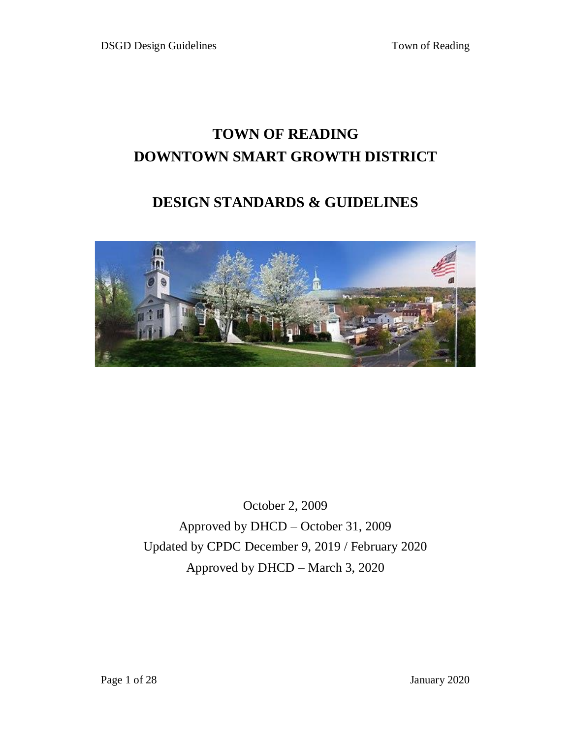# **TOWN OF READING DOWNTOWN SMART GROWTH DISTRICT**

## **DESIGN STANDARDS & GUIDELINES**



October 2, 2009 Approved by DHCD – October 31, 2009 Updated by CPDC December 9, 2019 / February 2020 Approved by DHCD – March 3, 2020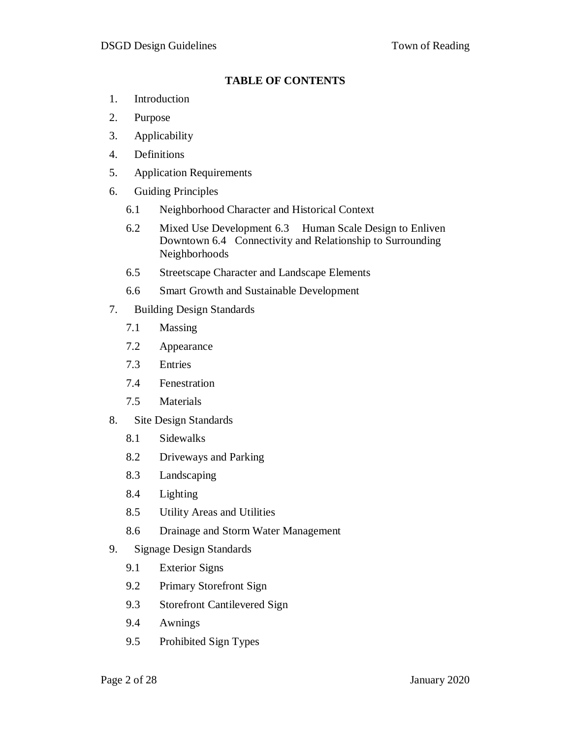#### **TABLE OF CONTENTS**

- 1. Introduction
- 2. Purpose
- 3. Applicability
- 4. Definitions
- 5. Application Requirements
- 6. Guiding Principles
	- 6.1 Neighborhood Character and Historical Context
	- 6.2 Mixed Use Development 6.3 Human Scale Design to Enliven Downtown 6.4 Connectivity and Relationship to Surrounding Neighborhoods
	- 6.5 Streetscape Character and Landscape Elements
	- 6.6 Smart Growth and Sustainable Development
- 7. Building Design Standards
	- 7.1 Massing
	- 7.2 Appearance
	- 7.3 Entries
	- 7.4 Fenestration
	- 7.5 Materials
- 8. Site Design Standards
	- 8.1 Sidewalks
	- 8.2 Driveways and Parking
	- 8.3 Landscaping
	- 8.4 Lighting
	- 8.5 Utility Areas and Utilities
	- 8.6 Drainage and Storm Water Management
- 9. Signage Design Standards
	- 9.1 Exterior Signs
	- 9.2 Primary Storefront Sign
	- 9.3 Storefront Cantilevered Sign
	- 9.4 Awnings
	- 9.5 Prohibited Sign Types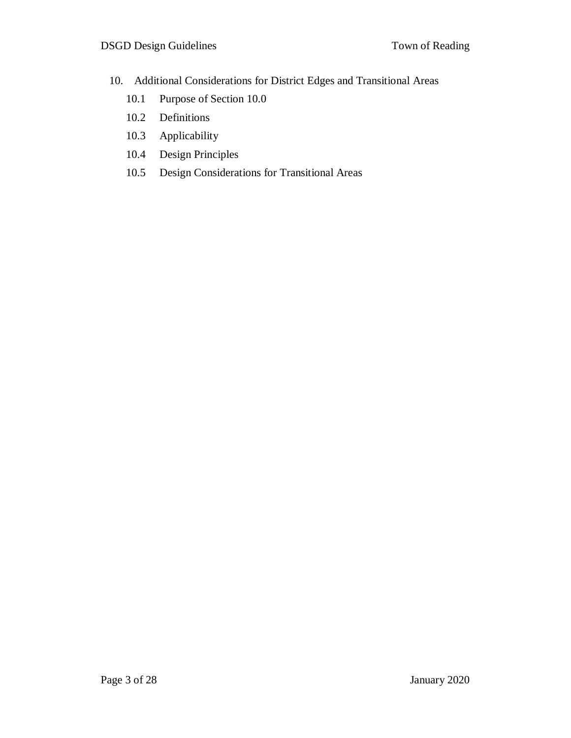- 10. Additional Considerations for District Edges and Transitional Areas
	- 10.1 Purpose of Section 10.0
	- 10.2 Definitions
	- 10.3 Applicability
	- 10.4 Design Principles
	- 10.5 Design Considerations for Transitional Areas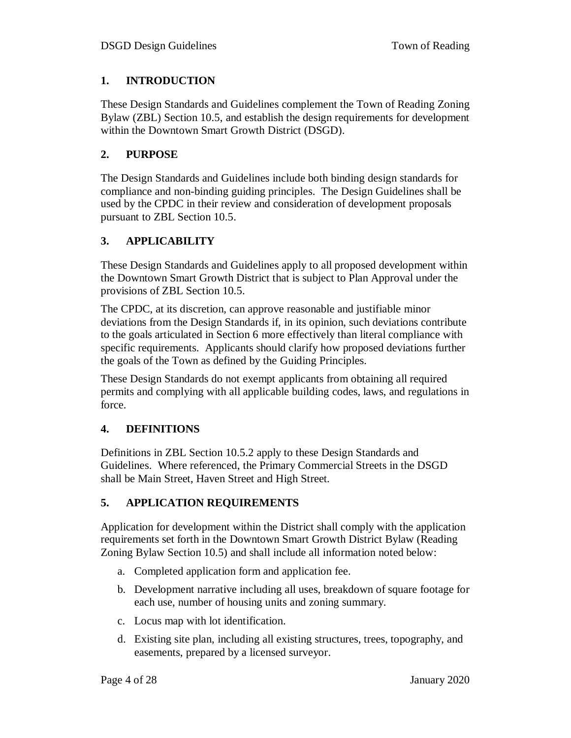## **1. INTRODUCTION**

These Design Standards and Guidelines complement the Town of Reading Zoning Bylaw (ZBL) Section 10.5, and establish the design requirements for development within the Downtown Smart Growth District (DSGD).

## **2. PURPOSE**

The Design Standards and Guidelines include both binding design standards for compliance and non-binding guiding principles. The Design Guidelines shall be used by the CPDC in their review and consideration of development proposals pursuant to ZBL Section 10.5.

## **3. APPLICABILITY**

These Design Standards and Guidelines apply to all proposed development within the Downtown Smart Growth District that is subject to Plan Approval under the provisions of ZBL Section 10.5.

The CPDC, at its discretion, can approve reasonable and justifiable minor deviations from the Design Standards if, in its opinion, such deviations contribute to the goals articulated in Section 6 more effectively than literal compliance with specific requirements. Applicants should clarify how proposed deviations further the goals of the Town as defined by the Guiding Principles.

These Design Standards do not exempt applicants from obtaining all required permits and complying with all applicable building codes, laws, and regulations in force.

#### **4. DEFINITIONS**

Definitions in ZBL Section 10.5.2 apply to these Design Standards and Guidelines. Where referenced, the Primary Commercial Streets in the DSGD shall be Main Street, Haven Street and High Street.

## **5. APPLICATION REQUIREMENTS**

Application for development within the District shall comply with the application requirements set forth in the Downtown Smart Growth District Bylaw (Reading Zoning Bylaw Section 10.5) and shall include all information noted below:

- a. Completed application form and application fee.
- b. Development narrative including all uses, breakdown of square footage for each use, number of housing units and zoning summary.
- c. Locus map with lot identification.
- d. Existing site plan, including all existing structures, trees, topography, and easements, prepared by a licensed surveyor.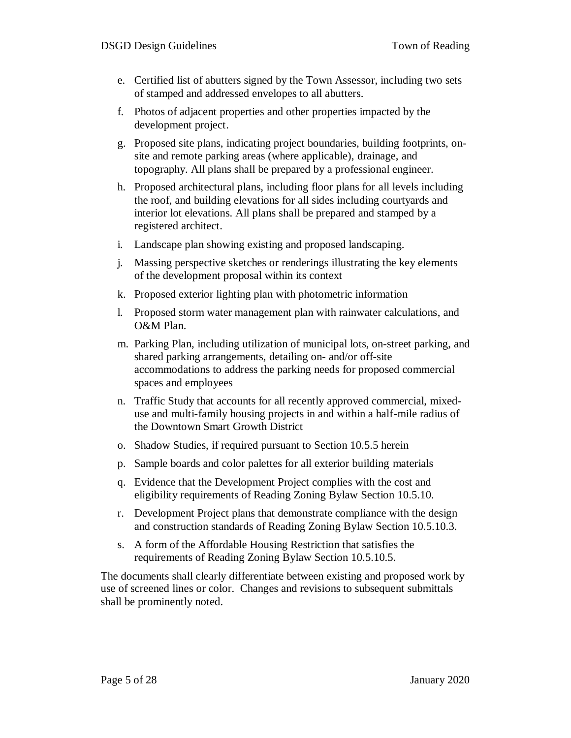- e. Certified list of abutters signed by the Town Assessor, including two sets of stamped and addressed envelopes to all abutters.
- f. Photos of adjacent properties and other properties impacted by the development project.
- g. Proposed site plans, indicating project boundaries, building footprints, onsite and remote parking areas (where applicable), drainage, and topography. All plans shall be prepared by a professional engineer.
- h. Proposed architectural plans, including floor plans for all levels including the roof, and building elevations for all sides including courtyards and interior lot elevations. All plans shall be prepared and stamped by a registered architect.
- i. Landscape plan showing existing and proposed landscaping.
- j. Massing perspective sketches or renderings illustrating the key elements of the development proposal within its context
- k. Proposed exterior lighting plan with photometric information
- l. Proposed storm water management plan with rainwater calculations, and O&M Plan.
- m. Parking Plan, including utilization of municipal lots, on-street parking, and shared parking arrangements, detailing on- and/or off-site accommodations to address the parking needs for proposed commercial spaces and employees
- n. Traffic Study that accounts for all recently approved commercial, mixeduse and multi-family housing projects in and within a half-mile radius of the Downtown Smart Growth District
- o. Shadow Studies, if required pursuant to Section 10.5.5 herein
- p. Sample boards and color palettes for all exterior building materials
- q. Evidence that the Development Project complies with the cost and eligibility requirements of Reading Zoning Bylaw Section 10.5.10.
- r. Development Project plans that demonstrate compliance with the design and construction standards of Reading Zoning Bylaw Section 10.5.10.3.
- s. A form of the Affordable Housing Restriction that satisfies the requirements of Reading Zoning Bylaw Section 10.5.10.5.

The documents shall clearly differentiate between existing and proposed work by use of screened lines or color. Changes and revisions to subsequent submittals shall be prominently noted.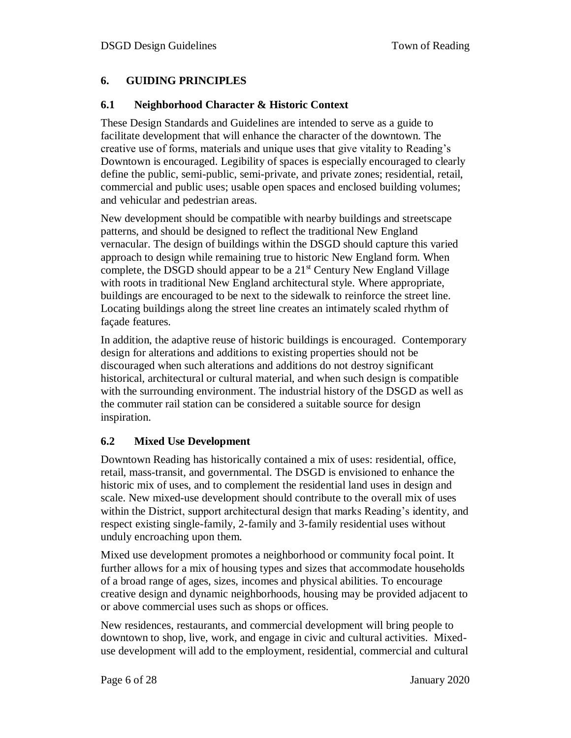## **6. GUIDING PRINCIPLES**

## **6.1 Neighborhood Character & Historic Context**

These Design Standards and Guidelines are intended to serve as a guide to facilitate development that will enhance the character of the downtown. The creative use of forms, materials and unique uses that give vitality to Reading's Downtown is encouraged. Legibility of spaces is especially encouraged to clearly define the public, semi-public, semi-private, and private zones; residential, retail, commercial and public uses; usable open spaces and enclosed building volumes; and vehicular and pedestrian areas.

New development should be compatible with nearby buildings and streetscape patterns, and should be designed to reflect the traditional New England vernacular. The design of buildings within the DSGD should capture this varied approach to design while remaining true to historic New England form. When complete, the DSGD should appear to be a  $21<sup>st</sup>$  Century New England Village with roots in traditional New England architectural style. Where appropriate, buildings are encouraged to be next to the sidewalk to reinforce the street line. Locating buildings along the street line creates an intimately scaled rhythm of façade features.

In addition, the adaptive reuse of historic buildings is encouraged. Contemporary design for alterations and additions to existing properties should not be discouraged when such alterations and additions do not destroy significant historical, architectural or cultural material, and when such design is compatible with the surrounding environment. The industrial history of the DSGD as well as the commuter rail station can be considered a suitable source for design inspiration.

## **6.2 Mixed Use Development**

Downtown Reading has historically contained a mix of uses: residential, office, retail, mass-transit, and governmental. The DSGD is envisioned to enhance the historic mix of uses, and to complement the residential land uses in design and scale. New mixed-use development should contribute to the overall mix of uses within the District, support architectural design that marks Reading's identity, and respect existing single-family, 2-family and 3-family residential uses without unduly encroaching upon them.

Mixed use development promotes a neighborhood or community focal point. It further allows for a mix of housing types and sizes that accommodate households of a broad range of ages, sizes, incomes and physical abilities. To encourage creative design and dynamic neighborhoods, housing may be provided adjacent to or above commercial uses such as shops or offices.

New residences, restaurants, and commercial development will bring people to downtown to shop, live, work, and engage in civic and cultural activities. Mixeduse development will add to the employment, residential, commercial and cultural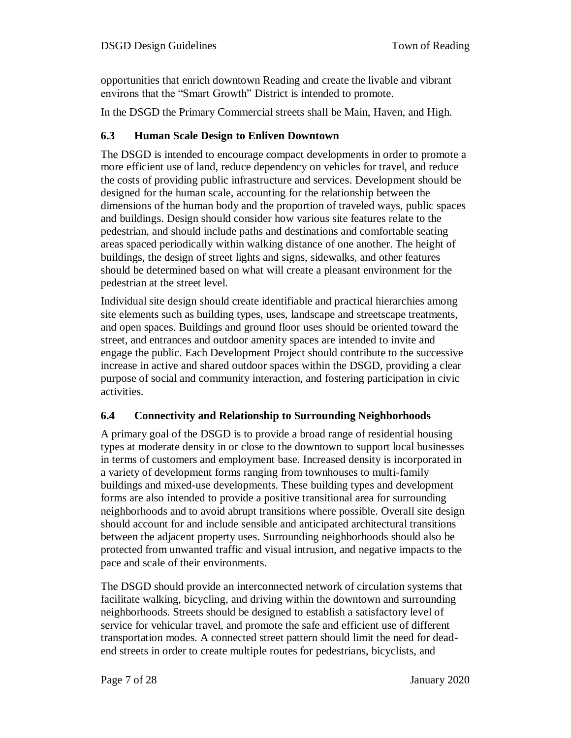opportunities that enrich downtown Reading and create the livable and vibrant environs that the "Smart Growth" District is intended to promote.

In the DSGD the Primary Commercial streets shall be Main, Haven, and High.

## **6.3 Human Scale Design to Enliven Downtown**

The DSGD is intended to encourage compact developments in order to promote a more efficient use of land, reduce dependency on vehicles for travel, and reduce the costs of providing public infrastructure and services. Development should be designed for the human scale, accounting for the relationship between the dimensions of the human body and the proportion of traveled ways, public spaces and buildings. Design should consider how various site features relate to the pedestrian, and should include paths and destinations and comfortable seating areas spaced periodically within walking distance of one another. The height of buildings, the design of street lights and signs, sidewalks, and other features should be determined based on what will create a pleasant environment for the pedestrian at the street level.

Individual site design should create identifiable and practical hierarchies among site elements such as building types, uses, landscape and streetscape treatments, and open spaces. Buildings and ground floor uses should be oriented toward the street, and entrances and outdoor amenity spaces are intended to invite and engage the public. Each Development Project should contribute to the successive increase in active and shared outdoor spaces within the DSGD, providing a clear purpose of social and community interaction, and fostering participation in civic activities.

#### **6.4 Connectivity and Relationship to Surrounding Neighborhoods**

A primary goal of the DSGD is to provide a broad range of residential housing types at moderate density in or close to the downtown to support local businesses in terms of customers and employment base. Increased density is incorporated in a variety of development forms ranging from townhouses to multi-family buildings and mixed-use developments. These building types and development forms are also intended to provide a positive transitional area for surrounding neighborhoods and to avoid abrupt transitions where possible. Overall site design should account for and include sensible and anticipated architectural transitions between the adjacent property uses. Surrounding neighborhoods should also be protected from unwanted traffic and visual intrusion, and negative impacts to the pace and scale of their environments.

The DSGD should provide an interconnected network of circulation systems that facilitate walking, bicycling, and driving within the downtown and surrounding neighborhoods. Streets should be designed to establish a satisfactory level of service for vehicular travel, and promote the safe and efficient use of different transportation modes. A connected street pattern should limit the need for deadend streets in order to create multiple routes for pedestrians, bicyclists, and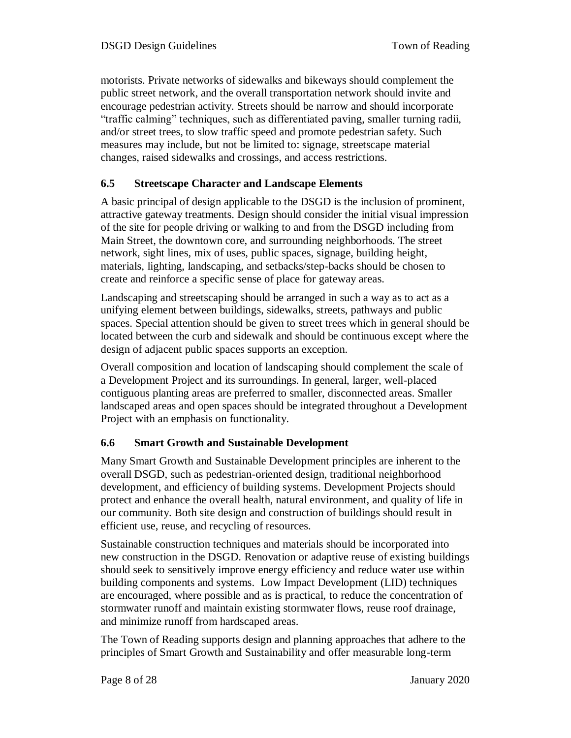motorists. Private networks of sidewalks and bikeways should complement the public street network, and the overall transportation network should invite and encourage pedestrian activity. Streets should be narrow and should incorporate "traffic calming" techniques, such as differentiated paving, smaller turning radii, and/or street trees, to slow traffic speed and promote pedestrian safety. Such measures may include, but not be limited to: signage, streetscape material changes, raised sidewalks and crossings, and access restrictions.

## **6.5 Streetscape Character and Landscape Elements**

A basic principal of design applicable to the DSGD is the inclusion of prominent, attractive gateway treatments. Design should consider the initial visual impression of the site for people driving or walking to and from the DSGD including from Main Street, the downtown core, and surrounding neighborhoods. The street network, sight lines, mix of uses, public spaces, signage, building height, materials, lighting, landscaping, and setbacks/step-backs should be chosen to create and reinforce a specific sense of place for gateway areas.

Landscaping and streetscaping should be arranged in such a way as to act as a unifying element between buildings, sidewalks, streets, pathways and public spaces. Special attention should be given to street trees which in general should be located between the curb and sidewalk and should be continuous except where the design of adjacent public spaces supports an exception.

Overall composition and location of landscaping should complement the scale of a Development Project and its surroundings. In general, larger, well-placed contiguous planting areas are preferred to smaller, disconnected areas. Smaller landscaped areas and open spaces should be integrated throughout a Development Project with an emphasis on functionality.

## **6.6 Smart Growth and Sustainable Development**

Many Smart Growth and Sustainable Development principles are inherent to the overall DSGD, such as pedestrian-oriented design, traditional neighborhood development, and efficiency of building systems. Development Projects should protect and enhance the overall health, natural environment, and quality of life in our community. Both site design and construction of buildings should result in efficient use, reuse, and recycling of resources.

Sustainable construction techniques and materials should be incorporated into new construction in the DSGD. Renovation or adaptive reuse of existing buildings should seek to sensitively improve energy efficiency and reduce water use within building components and systems. Low Impact Development (LID) techniques are encouraged, where possible and as is practical, to reduce the concentration of stormwater runoff and maintain existing stormwater flows, reuse roof drainage, and minimize runoff from hardscaped areas.

The Town of Reading supports design and planning approaches that adhere to the principles of Smart Growth and Sustainability and offer measurable long-term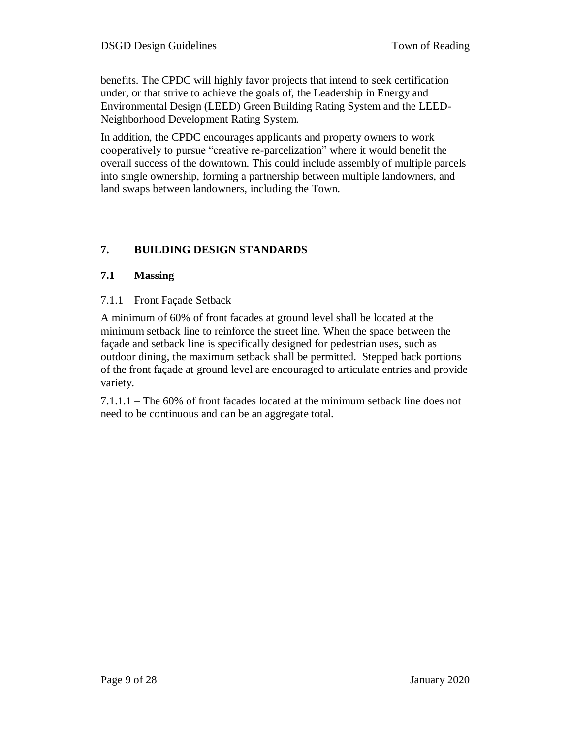benefits. The CPDC will highly favor projects that intend to seek certification under, or that strive to achieve the goals of, the Leadership in Energy and Environmental Design (LEED) Green Building Rating System and the LEED-Neighborhood Development Rating System.

In addition, the CPDC encourages applicants and property owners to work cooperatively to pursue "creative re-parcelization" where it would benefit the overall success of the downtown. This could include assembly of multiple parcels into single ownership, forming a partnership between multiple landowners, and land swaps between landowners, including the Town.

## **7. BUILDING DESIGN STANDARDS**

## **7.1 Massing**

7.1.1 Front Façade Setback

A minimum of 60% of front facades at ground level shall be located at the minimum setback line to reinforce the street line. When the space between the façade and setback line is specifically designed for pedestrian uses, such as outdoor dining, the maximum setback shall be permitted. Stepped back portions of the front façade at ground level are encouraged to articulate entries and provide variety.

7.1.1.1 – The 60% of front facades located at the minimum setback line does not need to be continuous and can be an aggregate total.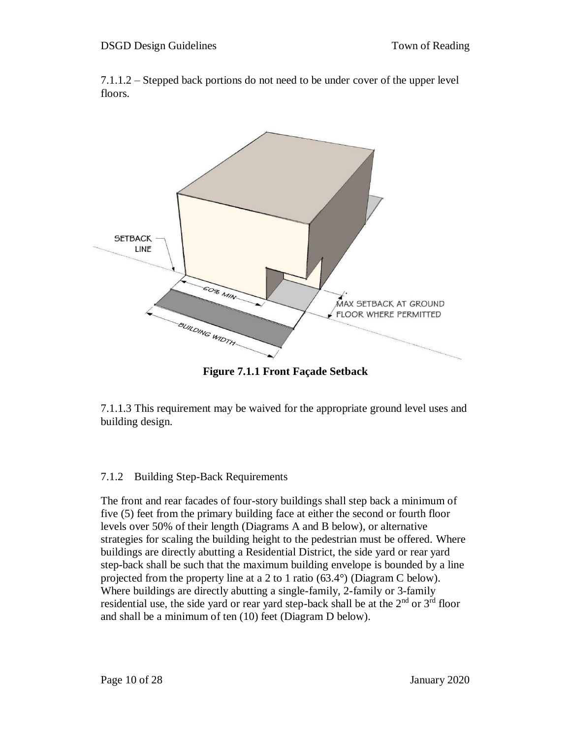7.1.1.2 – Stepped back portions do not need to be under cover of the upper level floors.



**Figure 7.1.1 Front Façade Setback**

7.1.1.3 This requirement may be waived for the appropriate ground level uses and building design.

#### 7.1.2 Building Step-Back Requirements

The front and rear facades of four-story buildings shall step back a minimum of five (5) feet from the primary building face at either the second or fourth floor levels over 50% of their length (Diagrams A and B below), or alternative strategies for scaling the building height to the pedestrian must be offered. Where buildings are directly abutting a Residential District, the side yard or rear yard step-back shall be such that the maximum building envelope is bounded by a line projected from the property line at a 2 to 1 ratio (63.4°) (Diagram C below). Where buildings are directly abutting a single-family, 2-family or 3-family residential use, the side yard or rear yard step-back shall be at the 2<sup>nd</sup> or 3<sup>rd</sup> floor and shall be a minimum of ten (10) feet (Diagram D below).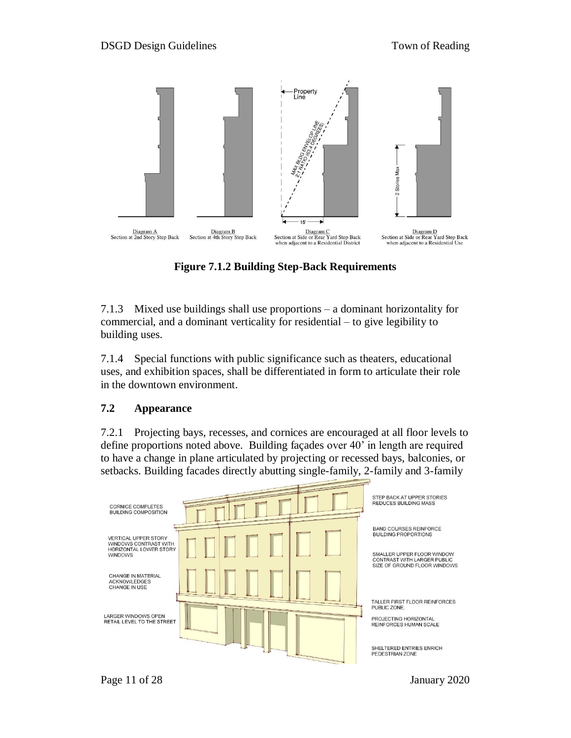

**Figure 7.1.2 Building Step-Back Requirements**

7.1.3 Mixed use buildings shall use proportions – a dominant horizontality for commercial, and a dominant verticality for residential – to give legibility to building uses.

7.1.4 Special functions with public significance such as theaters, educational uses, and exhibition spaces, shall be differentiated in form to articulate their role in the downtown environment.

#### **7.2 Appearance**

7.2.1 Projecting bays, recesses, and cornices are encouraged at all floor levels to define proportions noted above. Building façades over 40' in length are required to have a change in plane articulated by projecting or recessed bays, balconies, or setbacks. Building facades directly abutting single-family, 2-family and 3-family

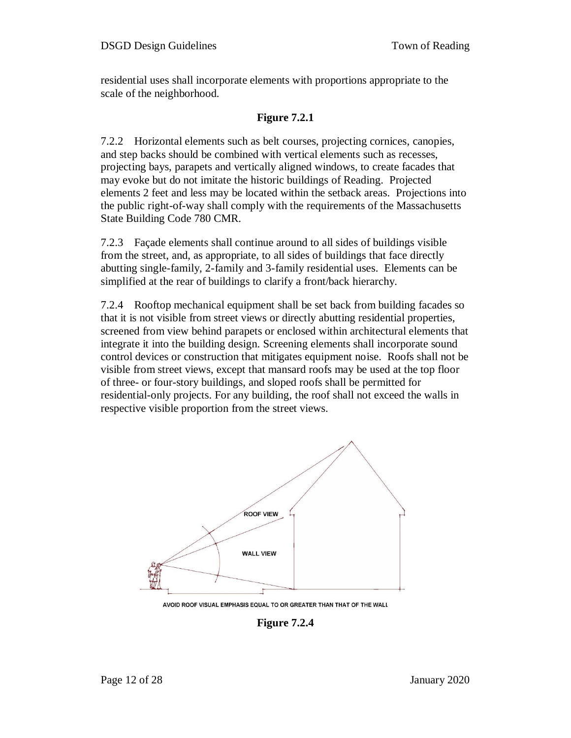residential uses shall incorporate elements with proportions appropriate to the scale of the neighborhood.

#### **Figure 7.2.1**

7.2.2 Horizontal elements such as belt courses, projecting cornices, canopies, and step backs should be combined with vertical elements such as recesses, projecting bays, parapets and vertically aligned windows, to create facades that may evoke but do not imitate the historic buildings of Reading. Projected elements 2 feet and less may be located within the setback areas. Projections into the public right-of-way shall comply with the requirements of the Massachusetts State Building Code 780 CMR.

7.2.3 Façade elements shall continue around to all sides of buildings visible from the street, and, as appropriate, to all sides of buildings that face directly abutting single-family, 2-family and 3-family residential uses. Elements can be simplified at the rear of buildings to clarify a front/back hierarchy.

7.2.4 Rooftop mechanical equipment shall be set back from building facades so that it is not visible from street views or directly abutting residential properties, screened from view behind parapets or enclosed within architectural elements that integrate it into the building design. Screening elements shall incorporate sound control devices or construction that mitigates equipment noise. Roofs shall not be visible from street views, except that mansard roofs may be used at the top floor of three- or four-story buildings, and sloped roofs shall be permitted for residential-only projects. For any building, the roof shall not exceed the walls in respective visible proportion from the street views.



AVOID ROOF VISUAL EMPHASIS EQUAL TO OR GREATER THAN THAT OF THE WALL

**Figure 7.2.4**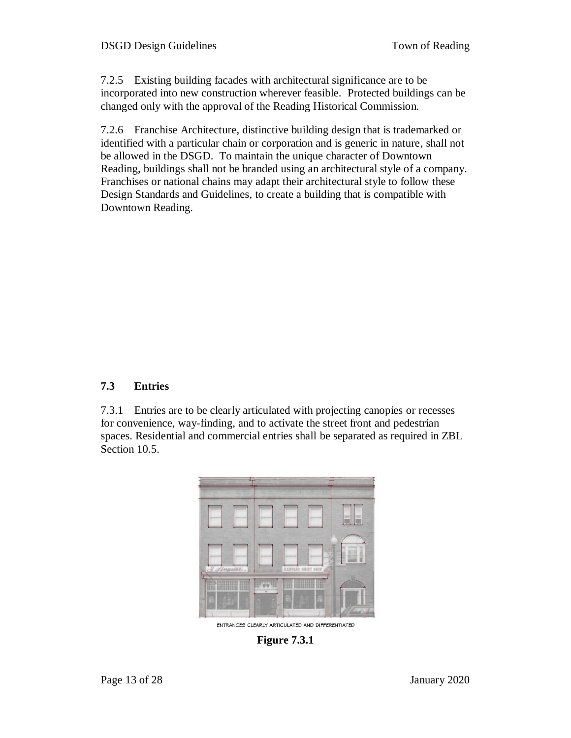7.2.5 Existing building facades with architectural significance are to be incorporated into new construction wherever feasible. Protected buildings can be changed only with the approval of the Reading Historical Commission.

7.2.6 Franchise Architecture, distinctive building design that is trademarked or identified with a particular chain or corporation and is generic in nature, shall not be allowed in the DSGD. To maintain the unique character of Downtown Reading, buildings shall not be branded using an architectural style of a company. Franchises or national chains may adapt their architectural style to follow these Design Standards and Guidelines, to create a building that is compatible with Downtown Reading.

## **7.3 Entries**

7.3.1 Entries are to be clearly articulated with projecting canopies or recesses for convenience, way-finding, and to activate the street front and pedestrian spaces. Residential and commercial entries shall be separated as required in ZBL Section 10.5.



ENTRANCES CLEARLY ARTICULATED AND DIFFERENTIATED

**Figure 7.3.1**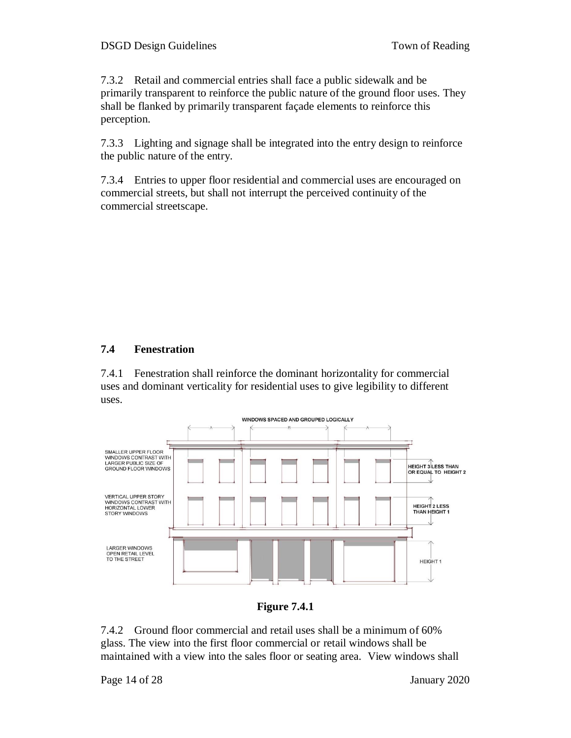7.3.2 Retail and commercial entries shall face a public sidewalk and be primarily transparent to reinforce the public nature of the ground floor uses. They shall be flanked by primarily transparent façade elements to reinforce this perception.

7.3.3 Lighting and signage shall be integrated into the entry design to reinforce the public nature of the entry.

7.3.4 Entries to upper floor residential and commercial uses are encouraged on commercial streets, but shall not interrupt the perceived continuity of the commercial streetscape.

## **7.4 Fenestration**

7.4.1 Fenestration shall reinforce the dominant horizontality for commercial uses and dominant verticality for residential uses to give legibility to different uses.



**Figure 7.4.1**

7.4.2 Ground floor commercial and retail uses shall be a minimum of 60% glass. The view into the first floor commercial or retail windows shall be maintained with a view into the sales floor or seating area. View windows shall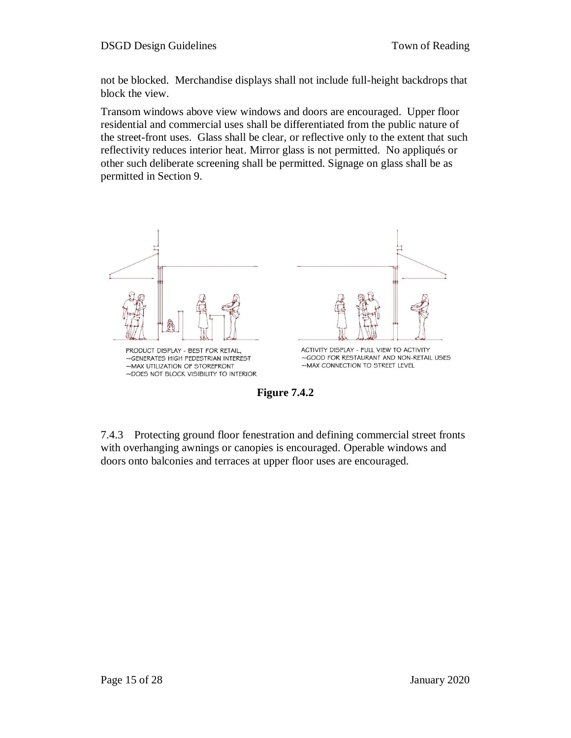not be blocked. Merchandise displays shall not include full-height backdrops that block the view.

Transom windows above view windows and doors are encouraged. Upper floor residential and commercial uses shall be differentiated from the public nature of the street-front uses. Glass shall be clear, or reflective only to the extent that such reflectivity reduces interior heat. Mirror glass is not permitted. No appliqués or other such deliberate screening shall be permitted. Signage on glass shall be as permitted in Section 9.



**Figure 7.4.2**

7.4.3 Protecting ground floor fenestration and defining commercial street fronts with overhanging awnings or canopies is encouraged. Operable windows and doors onto balconies and terraces at upper floor uses are encouraged.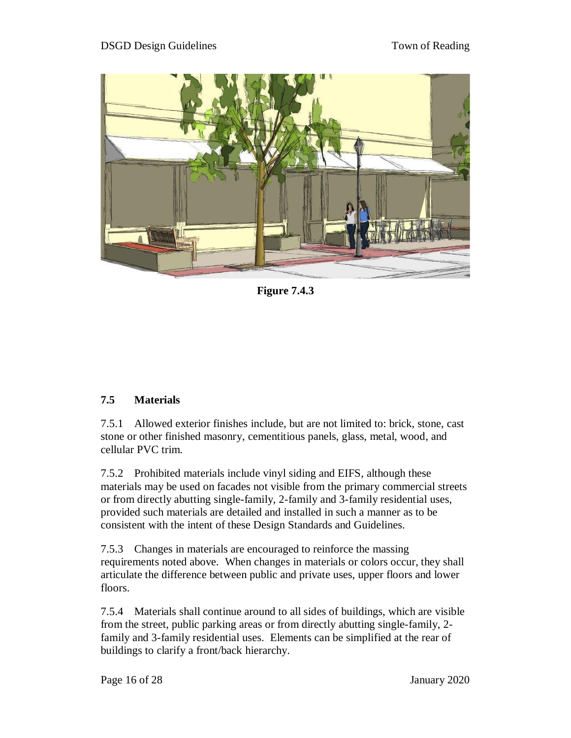

**Figure 7.4.3**

## **7.5 Materials**

7.5.1 Allowed exterior finishes include, but are not limited to: brick, stone, cast stone or other finished masonry, cementitious panels, glass, metal, wood, and cellular PVC trim.

7.5.2 Prohibited materials include vinyl siding and EIFS, although these materials may be used on facades not visible from the primary commercial streets or from directly abutting single-family, 2-family and 3-family residential uses, provided such materials are detailed and installed in such a manner as to be consistent with the intent of these Design Standards and Guidelines.

7.5.3 Changes in materials are encouraged to reinforce the massing requirements noted above. When changes in materials or colors occur, they shall articulate the difference between public and private uses, upper floors and lower floors.

7.5.4 Materials shall continue around to all sides of buildings, which are visible from the street, public parking areas or from directly abutting single-family, 2 family and 3-family residential uses. Elements can be simplified at the rear of buildings to clarify a front/back hierarchy.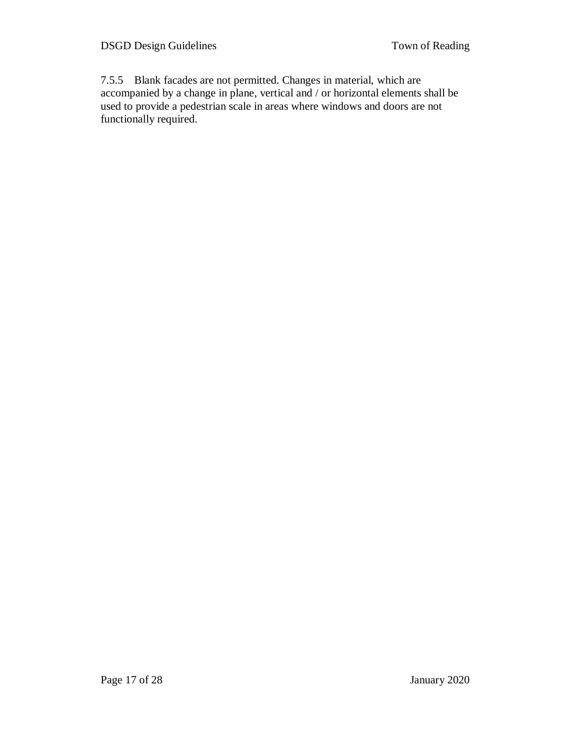7.5.5 Blank facades are not permitted. Changes in material, which are accompanied by a change in plane, vertical and / or horizontal elements shall be used to provide a pedestrian scale in areas where windows and doors are not functionally required.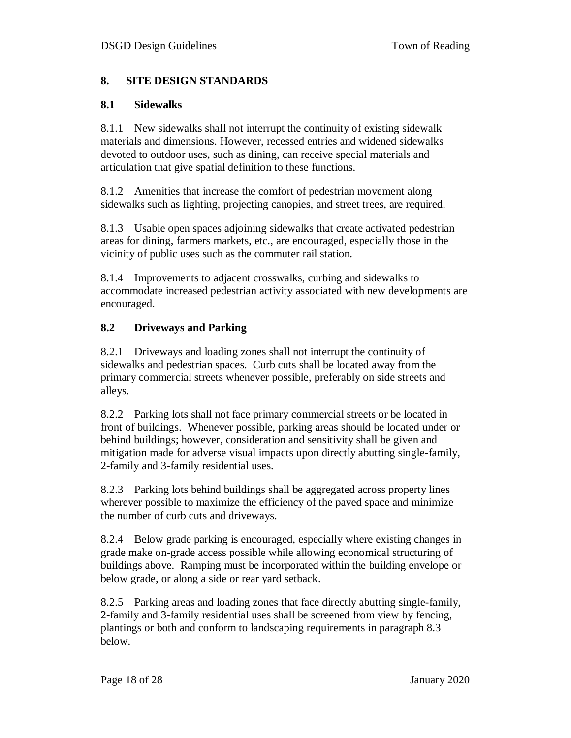#### **8. SITE DESIGN STANDARDS**

#### **8.1 Sidewalks**

8.1.1 New sidewalks shall not interrupt the continuity of existing sidewalk materials and dimensions. However, recessed entries and widened sidewalks devoted to outdoor uses, such as dining, can receive special materials and articulation that give spatial definition to these functions.

8.1.2 Amenities that increase the comfort of pedestrian movement along sidewalks such as lighting, projecting canopies, and street trees, are required.

8.1.3 Usable open spaces adjoining sidewalks that create activated pedestrian areas for dining, farmers markets, etc., are encouraged, especially those in the vicinity of public uses such as the commuter rail station.

8.1.4 Improvements to adjacent crosswalks, curbing and sidewalks to accommodate increased pedestrian activity associated with new developments are encouraged.

#### **8.2 Driveways and Parking**

8.2.1 Driveways and loading zones shall not interrupt the continuity of sidewalks and pedestrian spaces. Curb cuts shall be located away from the primary commercial streets whenever possible, preferably on side streets and alleys.

8.2.2 Parking lots shall not face primary commercial streets or be located in front of buildings. Whenever possible, parking areas should be located under or behind buildings; however, consideration and sensitivity shall be given and mitigation made for adverse visual impacts upon directly abutting single-family, 2-family and 3-family residential uses.

8.2.3 Parking lots behind buildings shall be aggregated across property lines wherever possible to maximize the efficiency of the paved space and minimize the number of curb cuts and driveways.

8.2.4 Below grade parking is encouraged, especially where existing changes in grade make on-grade access possible while allowing economical structuring of buildings above. Ramping must be incorporated within the building envelope or below grade, or along a side or rear yard setback.

8.2.5 Parking areas and loading zones that face directly abutting single-family, 2-family and 3-family residential uses shall be screened from view by fencing, plantings or both and conform to landscaping requirements in paragraph 8.3 below.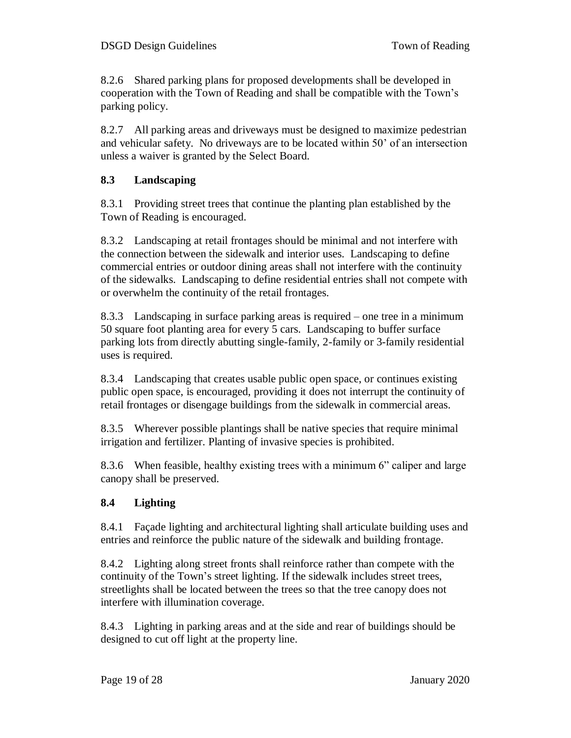8.2.6 Shared parking plans for proposed developments shall be developed in cooperation with the Town of Reading and shall be compatible with the Town's parking policy.

8.2.7 All parking areas and driveways must be designed to maximize pedestrian and vehicular safety. No driveways are to be located within 50' of an intersection unless a waiver is granted by the Select Board.

## **8.3 Landscaping**

8.3.1 Providing street trees that continue the planting plan established by the Town of Reading is encouraged.

8.3.2 Landscaping at retail frontages should be minimal and not interfere with the connection between the sidewalk and interior uses. Landscaping to define commercial entries or outdoor dining areas shall not interfere with the continuity of the sidewalks. Landscaping to define residential entries shall not compete with or overwhelm the continuity of the retail frontages.

8.3.3 Landscaping in surface parking areas is required – one tree in a minimum 50 square foot planting area for every 5 cars. Landscaping to buffer surface parking lots from directly abutting single-family, 2-family or 3-family residential uses is required.

8.3.4 Landscaping that creates usable public open space, or continues existing public open space, is encouraged, providing it does not interrupt the continuity of retail frontages or disengage buildings from the sidewalk in commercial areas.

8.3.5 Wherever possible plantings shall be native species that require minimal irrigation and fertilizer. Planting of invasive species is prohibited.

8.3.6 When feasible, healthy existing trees with a minimum 6" caliper and large canopy shall be preserved.

## **8.4 Lighting**

8.4.1 Façade lighting and architectural lighting shall articulate building uses and entries and reinforce the public nature of the sidewalk and building frontage.

8.4.2 Lighting along street fronts shall reinforce rather than compete with the continuity of the Town's street lighting. If the sidewalk includes street trees, streetlights shall be located between the trees so that the tree canopy does not interfere with illumination coverage.

8.4.3 Lighting in parking areas and at the side and rear of buildings should be designed to cut off light at the property line.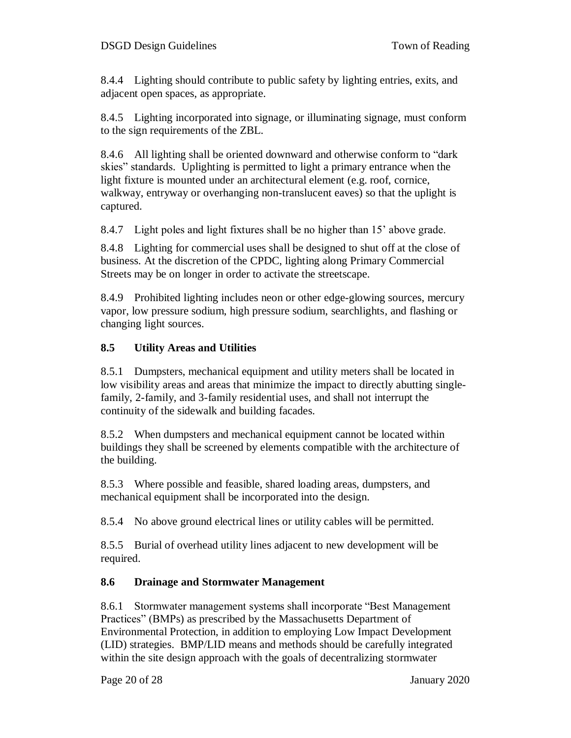8.4.4 Lighting should contribute to public safety by lighting entries, exits, and adjacent open spaces, as appropriate.

8.4.5 Lighting incorporated into signage, or illuminating signage, must conform to the sign requirements of the ZBL.

8.4.6 All lighting shall be oriented downward and otherwise conform to "dark skies" standards. Uplighting is permitted to light a primary entrance when the light fixture is mounted under an architectural element (e.g. roof, cornice, walkway, entryway or overhanging non-translucent eaves) so that the uplight is captured.

8.4.7 Light poles and light fixtures shall be no higher than 15' above grade.

8.4.8 Lighting for commercial uses shall be designed to shut off at the close of business. At the discretion of the CPDC, lighting along Primary Commercial Streets may be on longer in order to activate the streetscape.

8.4.9 Prohibited lighting includes neon or other edge-glowing sources, mercury vapor, low pressure sodium, high pressure sodium, searchlights, and flashing or changing light sources.

## **8.5 Utility Areas and Utilities**

8.5.1 Dumpsters, mechanical equipment and utility meters shall be located in low visibility areas and areas that minimize the impact to directly abutting singlefamily, 2-family, and 3-family residential uses, and shall not interrupt the continuity of the sidewalk and building facades.

8.5.2 When dumpsters and mechanical equipment cannot be located within buildings they shall be screened by elements compatible with the architecture of the building.

8.5.3 Where possible and feasible, shared loading areas, dumpsters, and mechanical equipment shall be incorporated into the design.

8.5.4 No above ground electrical lines or utility cables will be permitted.

8.5.5 Burial of overhead utility lines adjacent to new development will be required.

## **8.6 Drainage and Stormwater Management**

8.6.1 Stormwater management systems shall incorporate "Best Management Practices" (BMPs) as prescribed by the Massachusetts Department of Environmental Protection, in addition to employing Low Impact Development (LID) strategies. BMP/LID means and methods should be carefully integrated within the site design approach with the goals of decentralizing stormwater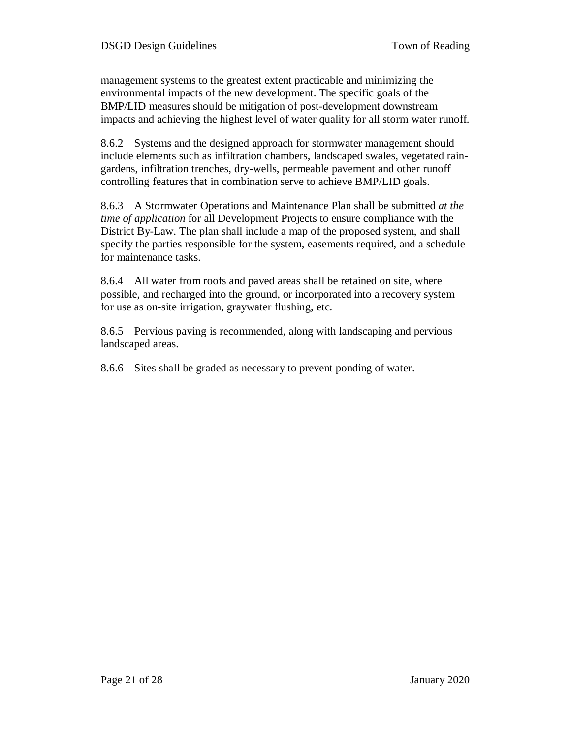management systems to the greatest extent practicable and minimizing the environmental impacts of the new development. The specific goals of the BMP/LID measures should be mitigation of post-development downstream impacts and achieving the highest level of water quality for all storm water runoff.

8.6.2 Systems and the designed approach for stormwater management should include elements such as infiltration chambers, landscaped swales, vegetated raingardens, infiltration trenches, dry-wells, permeable pavement and other runoff controlling features that in combination serve to achieve BMP/LID goals.

8.6.3 A Stormwater Operations and Maintenance Plan shall be submitted *at the time of application* for all Development Projects to ensure compliance with the District By-Law. The plan shall include a map of the proposed system, and shall specify the parties responsible for the system, easements required, and a schedule for maintenance tasks.

8.6.4 All water from roofs and paved areas shall be retained on site, where possible, and recharged into the ground, or incorporated into a recovery system for use as on-site irrigation, graywater flushing, etc.

8.6.5 Pervious paving is recommended, along with landscaping and pervious landscaped areas.

8.6.6 Sites shall be graded as necessary to prevent ponding of water.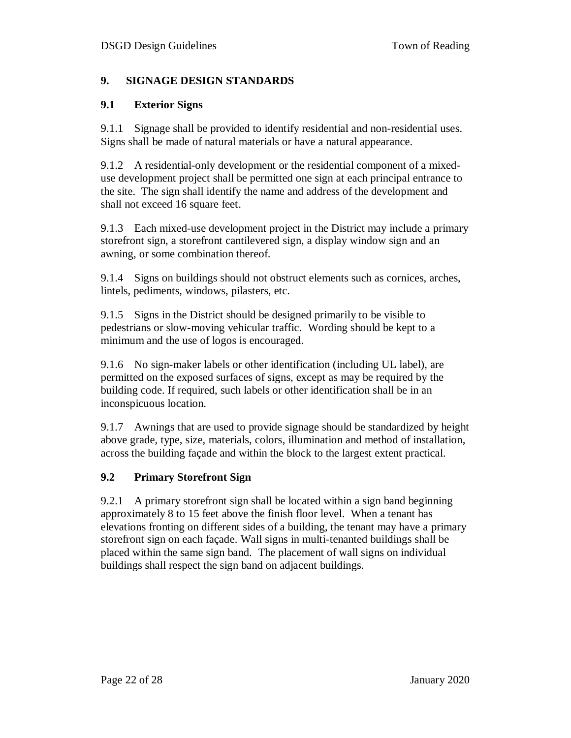## **9. SIGNAGE DESIGN STANDARDS**

#### **9.1 Exterior Signs**

9.1.1 Signage shall be provided to identify residential and non-residential uses. Signs shall be made of natural materials or have a natural appearance.

9.1.2 A residential-only development or the residential component of a mixeduse development project shall be permitted one sign at each principal entrance to the site. The sign shall identify the name and address of the development and shall not exceed 16 square feet.

9.1.3 Each mixed-use development project in the District may include a primary storefront sign, a storefront cantilevered sign, a display window sign and an awning, or some combination thereof.

9.1.4 Signs on buildings should not obstruct elements such as cornices, arches, lintels, pediments, windows, pilasters, etc.

9.1.5 Signs in the District should be designed primarily to be visible to pedestrians or slow-moving vehicular traffic. Wording should be kept to a minimum and the use of logos is encouraged.

9.1.6 No sign-maker labels or other identification (including UL label), are permitted on the exposed surfaces of signs, except as may be required by the building code. If required, such labels or other identification shall be in an inconspicuous location.

9.1.7 Awnings that are used to provide signage should be standardized by height above grade, type, size, materials, colors, illumination and method of installation, across the building façade and within the block to the largest extent practical.

## **9.2 Primary Storefront Sign**

9.2.1 A primary storefront sign shall be located within a sign band beginning approximately 8 to 15 feet above the finish floor level. When a tenant has elevations fronting on different sides of a building, the tenant may have a primary storefront sign on each façade. Wall signs in multi-tenanted buildings shall be placed within the same sign band. The placement of wall signs on individual buildings shall respect the sign band on adjacent buildings.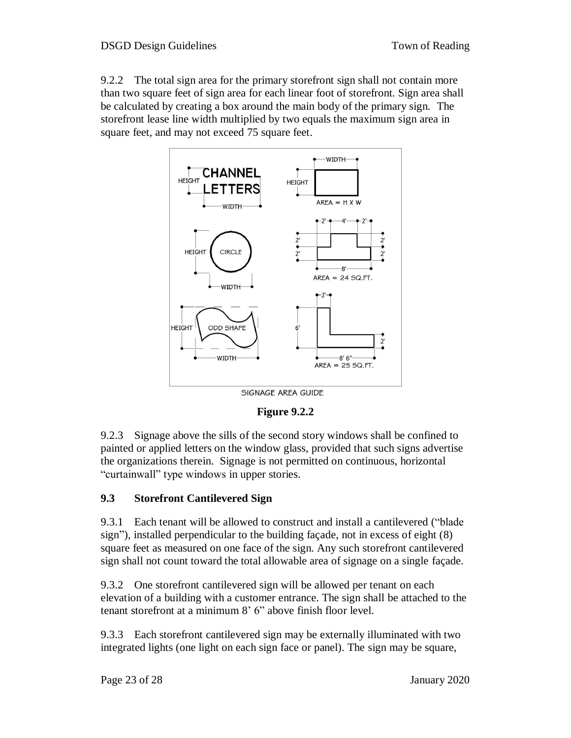9.2.2 The total sign area for the primary storefront sign shall not contain more than two square feet of sign area for each linear foot of storefront. Sign area shall be calculated by creating a box around the main body of the primary sign. The storefront lease line width multiplied by two equals the maximum sign area in square feet, and may not exceed 75 square feet.



SIGNAGE AREA GUIDE

**Figure 9.2.2**

9.2.3 Signage above the sills of the second story windows shall be confined to painted or applied letters on the window glass, provided that such signs advertise the organizations therein. Signage is not permitted on continuous, horizontal "curtainwall" type windows in upper stories.

## **9.3 Storefront Cantilevered Sign**

9.3.1 Each tenant will be allowed to construct and install a cantilevered ("blade sign"), installed perpendicular to the building façade, not in excess of eight (8) square feet as measured on one face of the sign. Any such storefront cantilevered sign shall not count toward the total allowable area of signage on a single façade.

9.3.2 One storefront cantilevered sign will be allowed per tenant on each elevation of a building with a customer entrance. The sign shall be attached to the tenant storefront at a minimum 8' 6" above finish floor level.

9.3.3 Each storefront cantilevered sign may be externally illuminated with two integrated lights (one light on each sign face or panel). The sign may be square,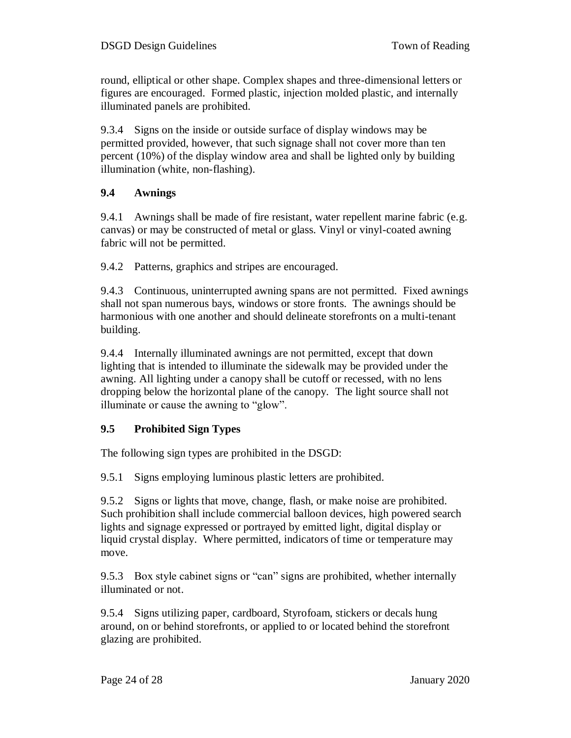round, elliptical or other shape. Complex shapes and three-dimensional letters or figures are encouraged. Formed plastic, injection molded plastic, and internally illuminated panels are prohibited.

9.3.4 Signs on the inside or outside surface of display windows may be permitted provided, however, that such signage shall not cover more than ten percent (10%) of the display window area and shall be lighted only by building illumination (white, non-flashing).

## **9.4 Awnings**

9.4.1 Awnings shall be made of fire resistant, water repellent marine fabric (e.g. canvas) or may be constructed of metal or glass. Vinyl or vinyl-coated awning fabric will not be permitted.

9.4.2 Patterns, graphics and stripes are encouraged.

9.4.3 Continuous, uninterrupted awning spans are not permitted. Fixed awnings shall not span numerous bays, windows or store fronts. The awnings should be harmonious with one another and should delineate storefronts on a multi-tenant building.

9.4.4 Internally illuminated awnings are not permitted, except that down lighting that is intended to illuminate the sidewalk may be provided under the awning. All lighting under a canopy shall be cutoff or recessed, with no lens dropping below the horizontal plane of the canopy. The light source shall not illuminate or cause the awning to "glow".

#### **9.5 Prohibited Sign Types**

The following sign types are prohibited in the DSGD:

9.5.1 Signs employing luminous plastic letters are prohibited.

9.5.2 Signs or lights that move, change, flash, or make noise are prohibited. Such prohibition shall include commercial balloon devices, high powered search lights and signage expressed or portrayed by emitted light, digital display or liquid crystal display. Where permitted, indicators of time or temperature may move.

9.5.3 Box style cabinet signs or "can" signs are prohibited, whether internally illuminated or not.

9.5.4 Signs utilizing paper, cardboard, Styrofoam, stickers or decals hung around, on or behind storefronts, or applied to or located behind the storefront glazing are prohibited.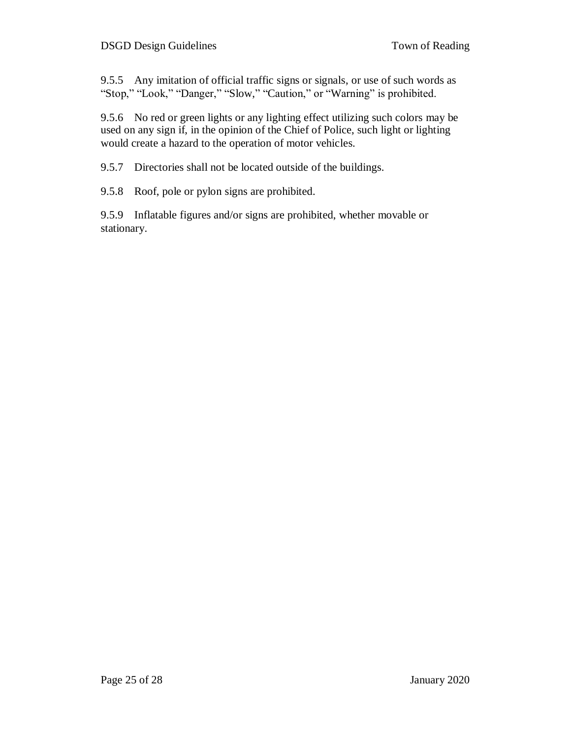9.5.5 Any imitation of official traffic signs or signals, or use of such words as "Stop," "Look," "Danger," "Slow," "Caution," or "Warning" is prohibited.

9.5.6 No red or green lights or any lighting effect utilizing such colors may be used on any sign if, in the opinion of the Chief of Police, such light or lighting would create a hazard to the operation of motor vehicles.

9.5.7 Directories shall not be located outside of the buildings.

9.5.8 Roof, pole or pylon signs are prohibited.

9.5.9 Inflatable figures and/or signs are prohibited, whether movable or stationary.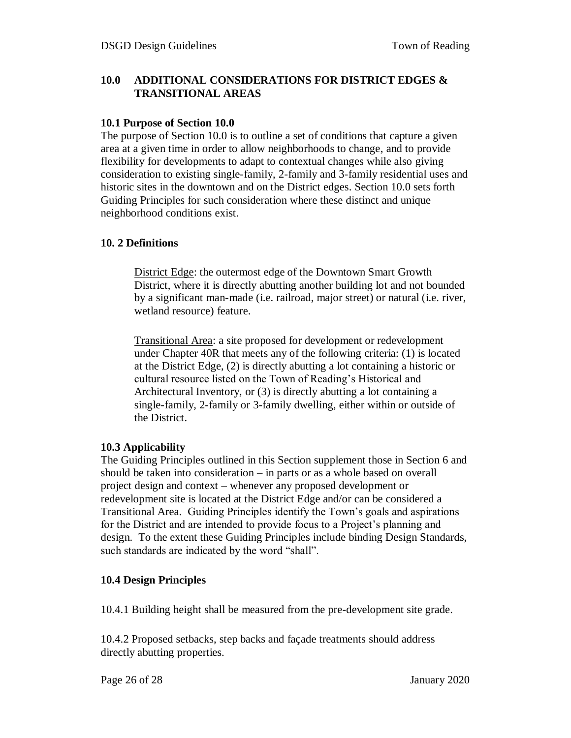#### **10.0 ADDITIONAL CONSIDERATIONS FOR DISTRICT EDGES & TRANSITIONAL AREAS**

#### **10.1 Purpose of Section 10.0**

The purpose of Section 10.0 is to outline a set of conditions that capture a given area at a given time in order to allow neighborhoods to change, and to provide flexibility for developments to adapt to contextual changes while also giving consideration to existing single-family, 2-family and 3-family residential uses and historic sites in the downtown and on the District edges. Section 10.0 sets forth Guiding Principles for such consideration where these distinct and unique neighborhood conditions exist.

#### **10. 2 Definitions**

District Edge: the outermost edge of the Downtown Smart Growth District, where it is directly abutting another building lot and not bounded by a significant man-made (i.e. railroad, major street) or natural (i.e. river, wetland resource) feature.

Transitional Area: a site proposed for development or redevelopment under Chapter 40R that meets any of the following criteria: (1) is located at the District Edge, (2) is directly abutting a lot containing a historic or cultural resource listed on the Town of Reading's Historical and Architectural Inventory, or (3) is directly abutting a lot containing a single-family, 2-family or 3-family dwelling, either within or outside of the District.

#### **10.3 Applicability**

The Guiding Principles outlined in this Section supplement those in Section 6 and should be taken into consideration – in parts or as a whole based on overall project design and context – whenever any proposed development or redevelopment site is located at the District Edge and/or can be considered a Transitional Area. Guiding Principles identify the Town's goals and aspirations for the District and are intended to provide focus to a Project's planning and design. To the extent these Guiding Principles include binding Design Standards, such standards are indicated by the word "shall".

#### **10.4 Design Principles**

10.4.1 Building height shall be measured from the pre-development site grade.

10.4.2 Proposed setbacks, step backs and façade treatments should address directly abutting properties.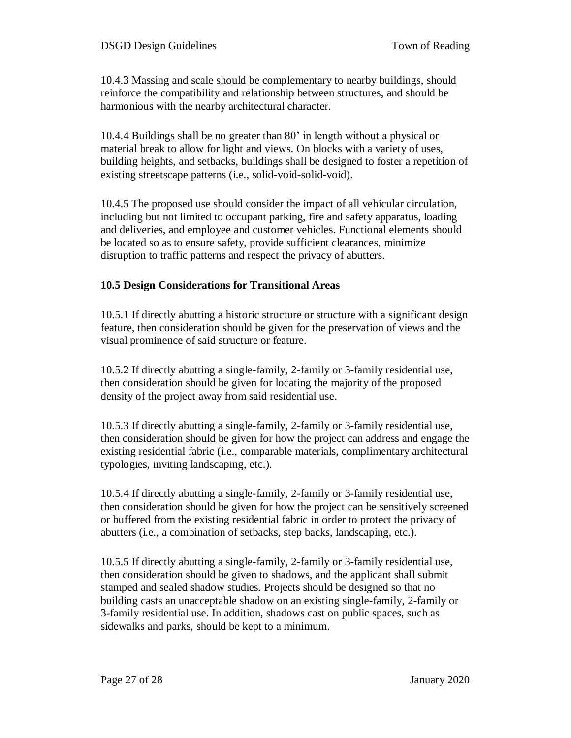10.4.3 Massing and scale should be complementary to nearby buildings, should reinforce the compatibility and relationship between structures, and should be harmonious with the nearby architectural character.

10.4.4 Buildings shall be no greater than 80' in length without a physical or material break to allow for light and views. On blocks with a variety of uses, building heights, and setbacks, buildings shall be designed to foster a repetition of existing streetscape patterns (i.e., solid-void-solid-void).

10.4.5 The proposed use should consider the impact of all vehicular circulation, including but not limited to occupant parking, fire and safety apparatus, loading and deliveries, and employee and customer vehicles. Functional elements should be located so as to ensure safety, provide sufficient clearances, minimize disruption to traffic patterns and respect the privacy of abutters.

#### **10.5 Design Considerations for Transitional Areas**

10.5.1 If directly abutting a historic structure or structure with a significant design feature, then consideration should be given for the preservation of views and the visual prominence of said structure or feature.

10.5.2 If directly abutting a single-family, 2-family or 3-family residential use, then consideration should be given for locating the majority of the proposed density of the project away from said residential use.

10.5.3 If directly abutting a single-family, 2-family or 3-family residential use, then consideration should be given for how the project can address and engage the existing residential fabric (i.e., comparable materials, complimentary architectural typologies, inviting landscaping, etc.).

10.5.4 If directly abutting a single-family, 2-family or 3-family residential use, then consideration should be given for how the project can be sensitively screened or buffered from the existing residential fabric in order to protect the privacy of abutters (i.e., a combination of setbacks, step backs, landscaping, etc.).

10.5.5 If directly abutting a single-family, 2-family or 3-family residential use, then consideration should be given to shadows, and the applicant shall submit stamped and sealed shadow studies. Projects should be designed so that no building casts an unacceptable shadow on an existing single-family, 2-family or 3-family residential use. In addition, shadows cast on public spaces, such as sidewalks and parks, should be kept to a minimum.